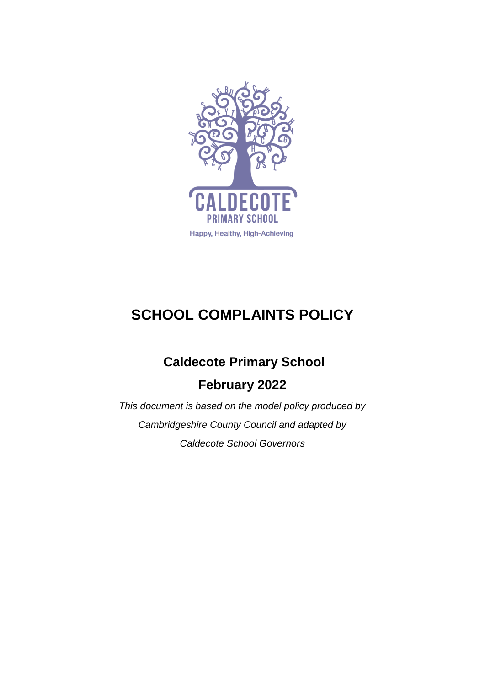

### **SCHOOL COMPLAINTS POLICY**

### **Caldecote Primary School**

### **February 2022**

*This document is based on the model policy produced by Cambridgeshire County Council and adapted by Caldecote School Governors*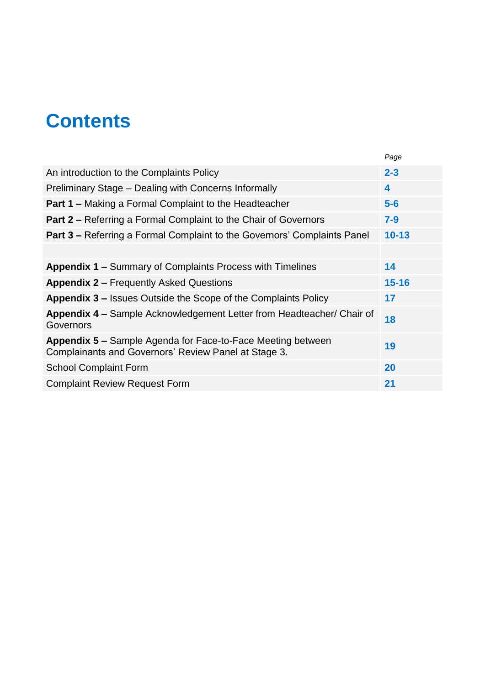### **Contents**

|                                                                                                                     | Page                    |
|---------------------------------------------------------------------------------------------------------------------|-------------------------|
| An introduction to the Complaints Policy                                                                            | $2 - 3$                 |
| Preliminary Stage - Dealing with Concerns Informally                                                                | $\overline{\mathbf{4}}$ |
| Part 1 - Making a Formal Complaint to the Headteacher                                                               | $5-6$                   |
| <b>Part 2 – Referring a Formal Complaint to the Chair of Governors</b>                                              | $7 - 9$                 |
| <b>Part 3 – Referring a Formal Complaint to the Governors' Complaints Panel</b>                                     | $10 - 13$               |
|                                                                                                                     |                         |
| <b>Appendix 1 – Summary of Complaints Process with Timelines</b>                                                    | 14                      |
| <b>Appendix 2 – Frequently Asked Questions</b>                                                                      | $15 - 16$               |
| <b>Appendix 3 – Issues Outside the Scope of the Complaints Policy</b>                                               | 17                      |
| Appendix 4 - Sample Acknowledgement Letter from Headteacher/ Chair of<br>Governors                                  | 18                      |
| Appendix 5 - Sample Agenda for Face-to-Face Meeting between<br>Complainants and Governors' Review Panel at Stage 3. | 19                      |
| <b>School Complaint Form</b>                                                                                        | 20                      |
| <b>Complaint Review Request Form</b>                                                                                | 21                      |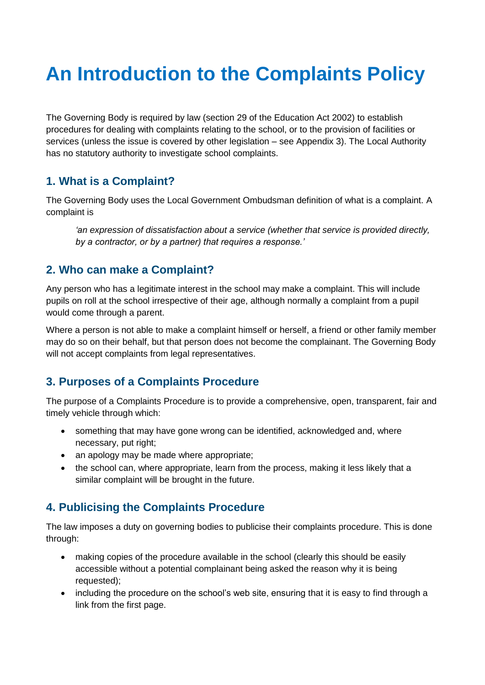# **An Introduction to the Complaints Policy**

The Governing Body is required by law (section 29 of the Education Act 2002) to establish procedures for dealing with complaints relating to the school, or to the provision of facilities or services (unless the issue is covered by other legislation – see Appendix 3). The Local Authority has no statutory authority to investigate school complaints.

#### **1. What is a Complaint?**

The Governing Body uses the Local Government Ombudsman definition of what is a complaint. A complaint is

*'an expression of dissatisfaction about a service (whether that service is provided directly, by a contractor, or by a partner) that requires a response.'*

#### **2. Who can make a Complaint?**

Any person who has a legitimate interest in the school may make a complaint. This will include pupils on roll at the school irrespective of their age, although normally a complaint from a pupil would come through a parent.

Where a person is not able to make a complaint himself or herself, a friend or other family member may do so on their behalf, but that person does not become the complainant. The Governing Body will not accept complaints from legal representatives.

#### **3. Purposes of a Complaints Procedure**

The purpose of a Complaints Procedure is to provide a comprehensive, open, transparent, fair and timely vehicle through which:

- something that may have gone wrong can be identified, acknowledged and, where necessary, put right;
- an apology may be made where appropriate;
- the school can, where appropriate, learn from the process, making it less likely that a similar complaint will be brought in the future.

#### **4. Publicising the Complaints Procedure**

The law imposes a duty on governing bodies to publicise their complaints procedure. This is done through:

- making copies of the procedure available in the school (clearly this should be easily accessible without a potential complainant being asked the reason why it is being requested);
- including the procedure on the school's web site, ensuring that it is easy to find through a link from the first page.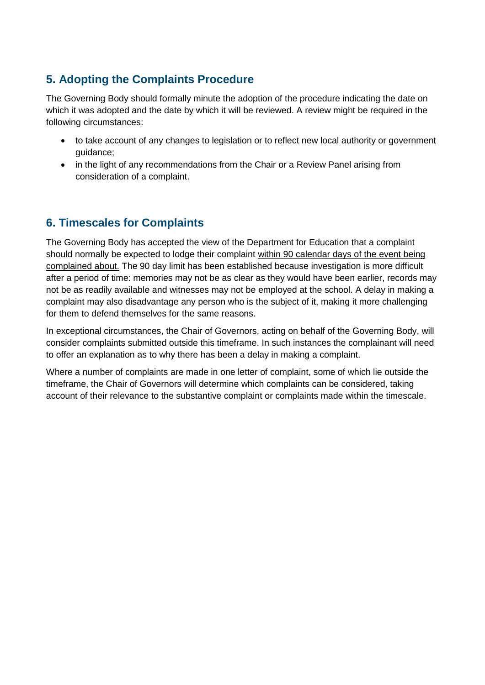#### **5. Adopting the Complaints Procedure**

The Governing Body should formally minute the adoption of the procedure indicating the date on which it was adopted and the date by which it will be reviewed. A review might be required in the following circumstances:

- to take account of any changes to legislation or to reflect new local authority or government guidance;
- in the light of any recommendations from the Chair or a Review Panel arising from consideration of a complaint.

#### **6. Timescales for Complaints**

The Governing Body has accepted the view of the Department for Education that a complaint should normally be expected to lodge their complaint within 90 calendar days of the event being complained about. The 90 day limit has been established because investigation is more difficult after a period of time: memories may not be as clear as they would have been earlier, records may not be as readily available and witnesses may not be employed at the school. A delay in making a complaint may also disadvantage any person who is the subject of it, making it more challenging for them to defend themselves for the same reasons.

In exceptional circumstances, the Chair of Governors, acting on behalf of the Governing Body, will consider complaints submitted outside this timeframe. In such instances the complainant will need to offer an explanation as to why there has been a delay in making a complaint.

Where a number of complaints are made in one letter of complaint, some of which lie outside the timeframe, the Chair of Governors will determine which complaints can be considered, taking account of their relevance to the substantive complaint or complaints made within the timescale.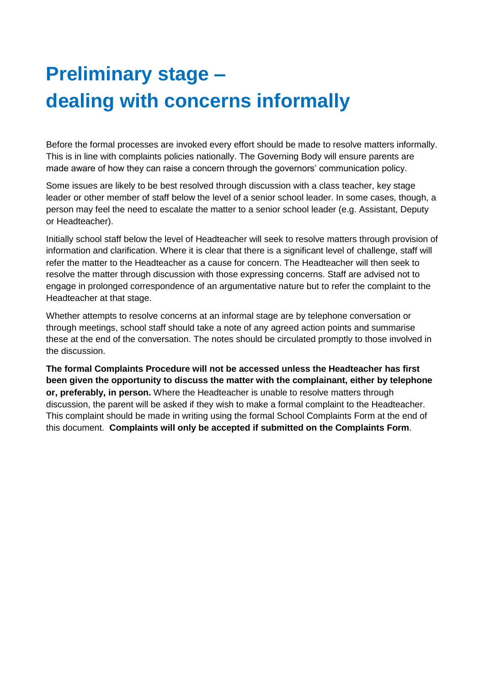# **Preliminary stage – dealing with concerns informally**

Before the formal processes are invoked every effort should be made to resolve matters informally. This is in line with complaints policies nationally. The Governing Body will ensure parents are made aware of how they can raise a concern through the governors' communication policy.

Some issues are likely to be best resolved through discussion with a class teacher, key stage leader or other member of staff below the level of a senior school leader. In some cases, though, a person may feel the need to escalate the matter to a senior school leader (e.g. Assistant, Deputy or Headteacher).

Initially school staff below the level of Headteacher will seek to resolve matters through provision of information and clarification. Where it is clear that there is a significant level of challenge, staff will refer the matter to the Headteacher as a cause for concern. The Headteacher will then seek to resolve the matter through discussion with those expressing concerns. Staff are advised not to engage in prolonged correspondence of an argumentative nature but to refer the complaint to the Headteacher at that stage.

Whether attempts to resolve concerns at an informal stage are by telephone conversation or through meetings, school staff should take a note of any agreed action points and summarise these at the end of the conversation. The notes should be circulated promptly to those involved in the discussion.

**The formal Complaints Procedure will not be accessed unless the Headteacher has first been given the opportunity to discuss the matter with the complainant, either by telephone or, preferably, in person.** Where the Headteacher is unable to resolve matters through discussion, the parent will be asked if they wish to make a formal complaint to the Headteacher. This complaint should be made in writing using the formal School Complaints Form at the end of this document. **Complaints will only be accepted if submitted on the Complaints Form**.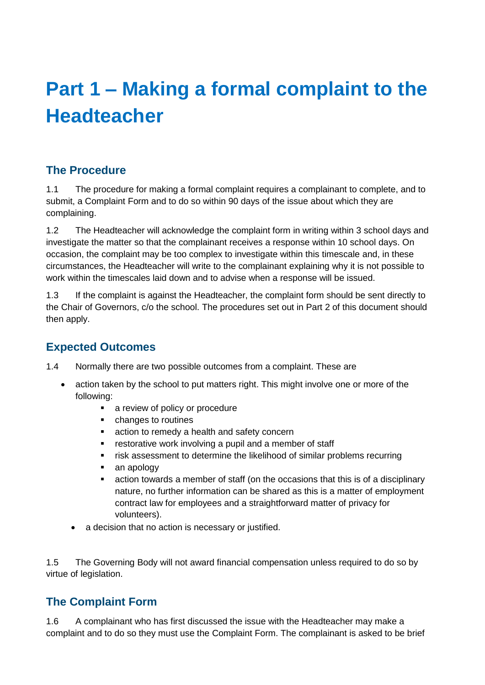# **Part 1 – Making a formal complaint to the Headteacher**

#### **The Procedure**

1.1 The procedure for making a formal complaint requires a complainant to complete, and to submit, a Complaint Form and to do so within 90 days of the issue about which they are complaining.

1.2 The Headteacher will acknowledge the complaint form in writing within 3 school days and investigate the matter so that the complainant receives a response within 10 school days. On occasion, the complaint may be too complex to investigate within this timescale and, in these circumstances, the Headteacher will write to the complainant explaining why it is not possible to work within the timescales laid down and to advise when a response will be issued.

1.3 If the complaint is against the Headteacher, the complaint form should be sent directly to the Chair of Governors, c/o the school. The procedures set out in Part 2 of this document should then apply.

#### **Expected Outcomes**

1.4 Normally there are two possible outcomes from a complaint. These are

- action taken by the school to put matters right. This might involve one or more of the following:
	- **a** review of policy or procedure
	- changes to routines
	- **EXECT** action to remedy a health and safety concern
	- **F** restorative work involving a pupil and a member of staff
	- **F** risk assessment to determine the likelihood of similar problems recurring
	- an apology
	- action towards a member of staff (on the occasions that this is of a disciplinary nature, no further information can be shared as this is a matter of employment contract law for employees and a straightforward matter of privacy for volunteers).
	- a decision that no action is necessary or justified.

1.5 The Governing Body will not award financial compensation unless required to do so by virtue of legislation.

#### **The Complaint Form**

1.6 A complainant who has first discussed the issue with the Headteacher may make a complaint and to do so they must use the Complaint Form. The complainant is asked to be brief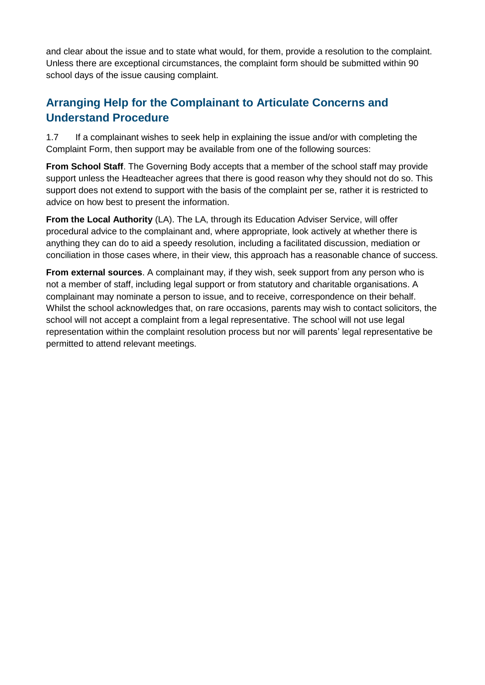and clear about the issue and to state what would, for them, provide a resolution to the complaint. Unless there are exceptional circumstances, the complaint form should be submitted within 90 school days of the issue causing complaint.

#### **Arranging Help for the Complainant to Articulate Concerns and Understand Procedure**

1.7 If a complainant wishes to seek help in explaining the issue and/or with completing the Complaint Form, then support may be available from one of the following sources:

**From School Staff**. The Governing Body accepts that a member of the school staff may provide support unless the Headteacher agrees that there is good reason why they should not do so. This support does not extend to support with the basis of the complaint per se, rather it is restricted to advice on how best to present the information.

**From the Local Authority** (LA). The LA, through its Education Adviser Service, will offer procedural advice to the complainant and, where appropriate, look actively at whether there is anything they can do to aid a speedy resolution, including a facilitated discussion, mediation or conciliation in those cases where, in their view, this approach has a reasonable chance of success.

**From external sources**. A complainant may, if they wish, seek support from any person who is not a member of staff, including legal support or from statutory and charitable organisations. A complainant may nominate a person to issue, and to receive, correspondence on their behalf. Whilst the school acknowledges that, on rare occasions, parents may wish to contact solicitors, the school will not accept a complaint from a legal representative. The school will not use legal representation within the complaint resolution process but nor will parents' legal representative be permitted to attend relevant meetings.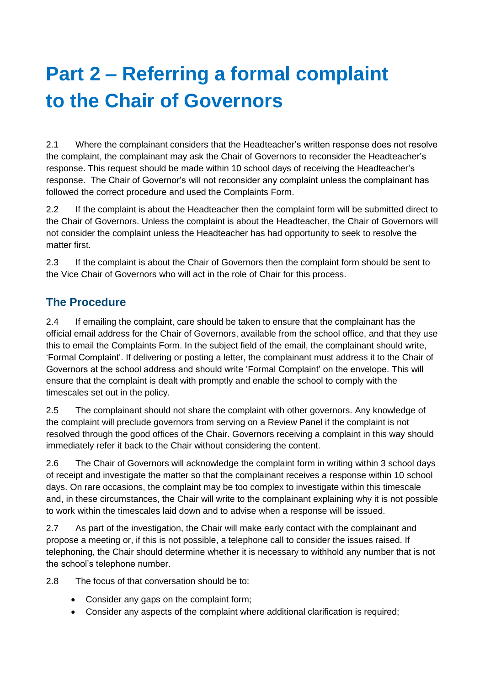# **Part 2 – Referring a formal complaint to the Chair of Governors**

2.1 Where the complainant considers that the Headteacher's written response does not resolve the complaint, the complainant may ask the Chair of Governors to reconsider the Headteacher's response. This request should be made within 10 school days of receiving the Headteacher's response. The Chair of Governor's will not reconsider any complaint unless the complainant has followed the correct procedure and used the Complaints Form.

2.2 If the complaint is about the Headteacher then the complaint form will be submitted direct to the Chair of Governors. Unless the complaint is about the Headteacher, the Chair of Governors will not consider the complaint unless the Headteacher has had opportunity to seek to resolve the matter first.

2.3 If the complaint is about the Chair of Governors then the complaint form should be sent to the Vice Chair of Governors who will act in the role of Chair for this process.

#### **The Procedure**

2.4 If emailing the complaint, care should be taken to ensure that the complainant has the official email address for the Chair of Governors, available from the school office, and that they use this to email the Complaints Form. In the subject field of the email, the complainant should write, 'Formal Complaint'. If delivering or posting a letter, the complainant must address it to the Chair of Governors at the school address and should write 'Formal Complaint' on the envelope. This will ensure that the complaint is dealt with promptly and enable the school to comply with the timescales set out in the policy.

2.5 The complainant should not share the complaint with other governors. Any knowledge of the complaint will preclude governors from serving on a Review Panel if the complaint is not resolved through the good offices of the Chair. Governors receiving a complaint in this way should immediately refer it back to the Chair without considering the content.

2.6 The Chair of Governors will acknowledge the complaint form in writing within 3 school days of receipt and investigate the matter so that the complainant receives a response within 10 school days. On rare occasions, the complaint may be too complex to investigate within this timescale and, in these circumstances, the Chair will write to the complainant explaining why it is not possible to work within the timescales laid down and to advise when a response will be issued.

2.7 As part of the investigation, the Chair will make early contact with the complainant and propose a meeting or, if this is not possible, a telephone call to consider the issues raised. If telephoning, the Chair should determine whether it is necessary to withhold any number that is not the school's telephone number.

2.8 The focus of that conversation should be to:

- Consider any gaps on the complaint form;
- Consider any aspects of the complaint where additional clarification is required;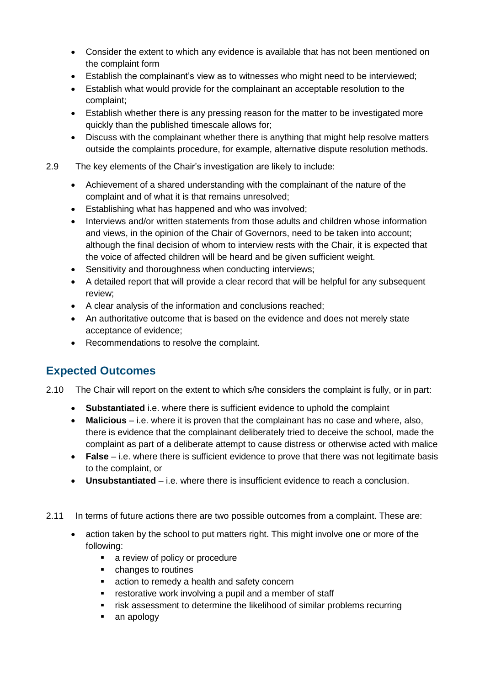- Consider the extent to which any evidence is available that has not been mentioned on the complaint form
- Establish the complainant's view as to witnesses who might need to be interviewed;
- Establish what would provide for the complainant an acceptable resolution to the complaint;
- Establish whether there is any pressing reason for the matter to be investigated more quickly than the published timescale allows for;
- Discuss with the complainant whether there is anything that might help resolve matters outside the complaints procedure, for example, alternative dispute resolution methods.
- 2.9 The key elements of the Chair's investigation are likely to include:
	- Achievement of a shared understanding with the complainant of the nature of the complaint and of what it is that remains unresolved;
	- Establishing what has happened and who was involved;
	- Interviews and/or written statements from those adults and children whose information and views, in the opinion of the Chair of Governors, need to be taken into account; although the final decision of whom to interview rests with the Chair, it is expected that the voice of affected children will be heard and be given sufficient weight.
	- Sensitivity and thoroughness when conducting interviews;
	- A detailed report that will provide a clear record that will be helpful for any subsequent review;
	- A clear analysis of the information and conclusions reached;
	- An authoritative outcome that is based on the evidence and does not merely state acceptance of evidence;
	- Recommendations to resolve the complaint.

#### **Expected Outcomes**

- 2.10 The Chair will report on the extent to which s/he considers the complaint is fully, or in part:
	- **Substantiated** i.e. where there is sufficient evidence to uphold the complaint
	- **Malicious** i.e. where it is proven that the complainant has no case and where, also, there is evidence that the complainant deliberately tried to deceive the school, made the complaint as part of a deliberate attempt to cause distress or otherwise acted with malice
	- **False** i.e. where there is sufficient evidence to prove that there was not legitimate basis to the complaint, or
	- **Unsubstantiated** i.e. where there is insufficient evidence to reach a conclusion.
- 2.11 In terms of future actions there are two possible outcomes from a complaint. These are:
	- action taken by the school to put matters right. This might involve one or more of the following:
		- a review of policy or procedure
		- changes to routines
		- **EXECT** action to remedy a health and safety concern
		- **F** restorative work involving a pupil and a member of staff
		- **F** risk assessment to determine the likelihood of similar problems recurring
		- an apology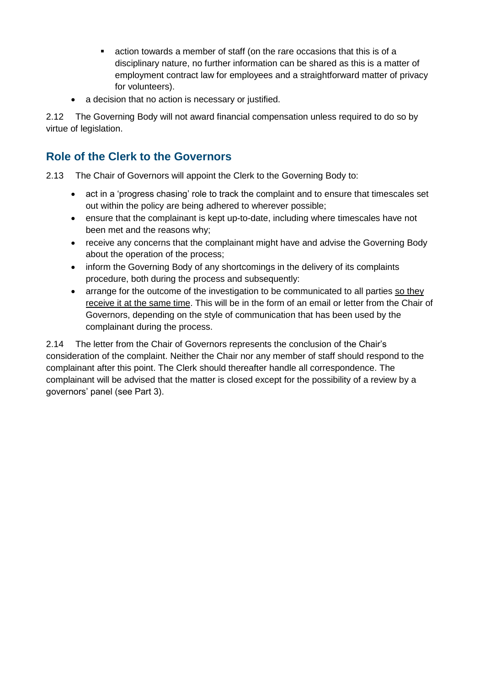- action towards a member of staff (on the rare occasions that this is of a disciplinary nature, no further information can be shared as this is a matter of employment contract law for employees and a straightforward matter of privacy for volunteers).
- a decision that no action is necessary or justified.

2.12 The Governing Body will not award financial compensation unless required to do so by virtue of legislation.

#### **Role of the Clerk to the Governors**

2.13 The Chair of Governors will appoint the Clerk to the Governing Body to:

- act in a 'progress chasing' role to track the complaint and to ensure that timescales set out within the policy are being adhered to wherever possible;
- ensure that the complainant is kept up-to-date, including where timescales have not been met and the reasons why;
- receive any concerns that the complainant might have and advise the Governing Body about the operation of the process;
- inform the Governing Body of any shortcomings in the delivery of its complaints procedure, both during the process and subsequently:
- arrange for the outcome of the investigation to be communicated to all parties so they receive it at the same time. This will be in the form of an email or letter from the Chair of Governors, depending on the style of communication that has been used by the complainant during the process.

2.14 The letter from the Chair of Governors represents the conclusion of the Chair's consideration of the complaint. Neither the Chair nor any member of staff should respond to the complainant after this point. The Clerk should thereafter handle all correspondence. The complainant will be advised that the matter is closed except for the possibility of a review by a governors' panel (see Part 3).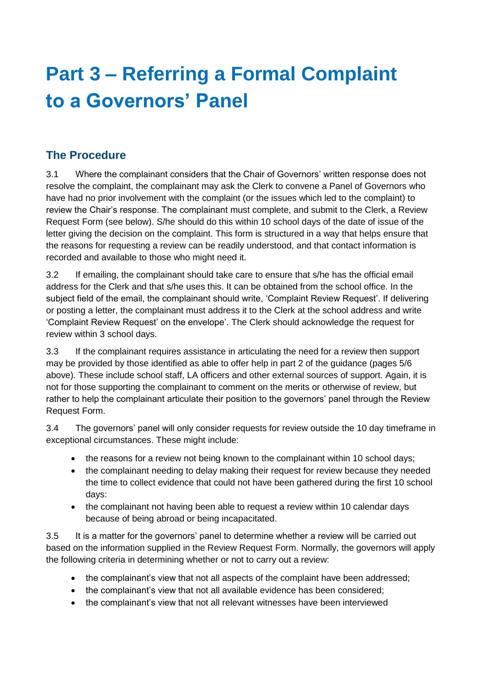# **Part 3 – Referring a Formal Complaint to a Governors' Panel**

#### **The Procedure**

3.1 Where the complainant considers that the Chair of Governors' written response does not resolve the complaint, the complainant may ask the Clerk to convene a Panel of Governors who have had no prior involvement with the complaint (or the issues which led to the complaint) to review the Chair's response. The complainant must complete, and submit to the Clerk, a Review Request Form (see below). S/he should do this within 10 school days of the date of issue of the letter giving the decision on the complaint. This form is structured in a way that helps ensure that the reasons for requesting a review can be readily understood, and that contact information is recorded and available to those who might need it.

3.2 If emailing, the complainant should take care to ensure that s/he has the official email address for the Clerk and that s/he uses this. It can be obtained from the school office. In the subject field of the email, the complainant should write, 'Complaint Review Request'. If delivering or posting a letter, the complainant must address it to the Clerk at the school address and write 'Complaint Review Request' on the envelope'. The Clerk should acknowledge the request for review within 3 school days.

3.3 If the complainant requires assistance in articulating the need for a review then support may be provided by those identified as able to offer help in part 2 of the guidance (pages 5/6 above). These include school staff, LA officers and other external sources of support. Again, it is not for those supporting the complainant to comment on the merits or otherwise of review, but rather to help the complainant articulate their position to the governors' panel through the Review Request Form.

3.4 The governors' panel will only consider requests for review outside the 10 day timeframe in exceptional circumstances. These might include:

- the reasons for a review not being known to the complainant within 10 school days;
- the complainant needing to delay making their request for review because they needed the time to collect evidence that could not have been gathered during the first 10 school days:
- the complainant not having been able to request a review within 10 calendar days because of being abroad or being incapacitated.

3.5 It is a matter for the governors' panel to determine whether a review will be carried out based on the information supplied in the Review Request Form. Normally, the governors will apply the following criteria in determining whether or not to carry out a review:

- the complainant's view that not all aspects of the complaint have been addressed;
- the complainant's view that not all available evidence has been considered;
- the complainant's view that not all relevant witnesses have been interviewed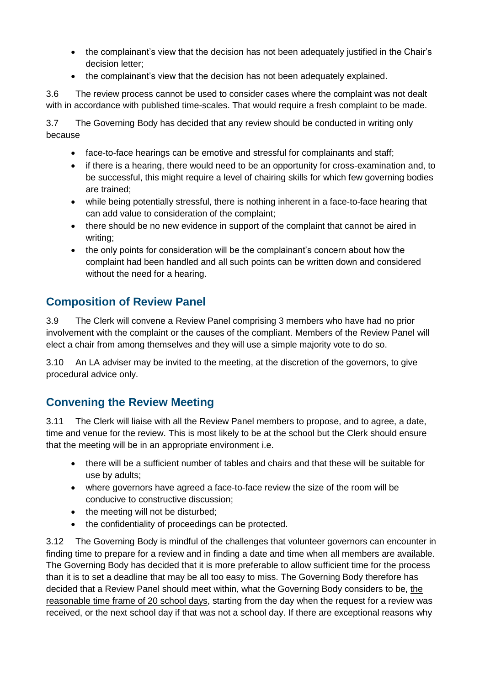- the complainant's view that the decision has not been adequately justified in the Chair's decision letter;
- the complainant's view that the decision has not been adequately explained.

3.6 The review process cannot be used to consider cases where the complaint was not dealt with in accordance with published time-scales. That would require a fresh complaint to be made.

3.7 The Governing Body has decided that any review should be conducted in writing only because

- face-to-face hearings can be emotive and stressful for complainants and staff;
- if there is a hearing, there would need to be an opportunity for cross-examination and, to be successful, this might require a level of chairing skills for which few governing bodies are trained;
- while being potentially stressful, there is nothing inherent in a face-to-face hearing that can add value to consideration of the complaint;
- there should be no new evidence in support of the complaint that cannot be aired in writing;
- the only points for consideration will be the complainant's concern about how the complaint had been handled and all such points can be written down and considered without the need for a hearing.

#### **Composition of Review Panel**

3.9 The Clerk will convene a Review Panel comprising 3 members who have had no prior involvement with the complaint or the causes of the compliant. Members of the Review Panel will elect a chair from among themselves and they will use a simple majority vote to do so.

3.10 An LA adviser may be invited to the meeting, at the discretion of the governors, to give procedural advice only.

#### **Convening the Review Meeting**

3.11 The Clerk will liaise with all the Review Panel members to propose, and to agree, a date, time and venue for the review. This is most likely to be at the school but the Clerk should ensure that the meeting will be in an appropriate environment i.e.

- there will be a sufficient number of tables and chairs and that these will be suitable for use by adults;
- where governors have agreed a face-to-face review the size of the room will be conducive to constructive discussion;
- the meeting will not be disturbed;
- the confidentiality of proceedings can be protected.

3.12 The Governing Body is mindful of the challenges that volunteer governors can encounter in finding time to prepare for a review and in finding a date and time when all members are available. The Governing Body has decided that it is more preferable to allow sufficient time for the process than it is to set a deadline that may be all too easy to miss. The Governing Body therefore has decided that a Review Panel should meet within, what the Governing Body considers to be, the reasonable time frame of 20 school days, starting from the day when the request for a review was received, or the next school day if that was not a school day. If there are exceptional reasons why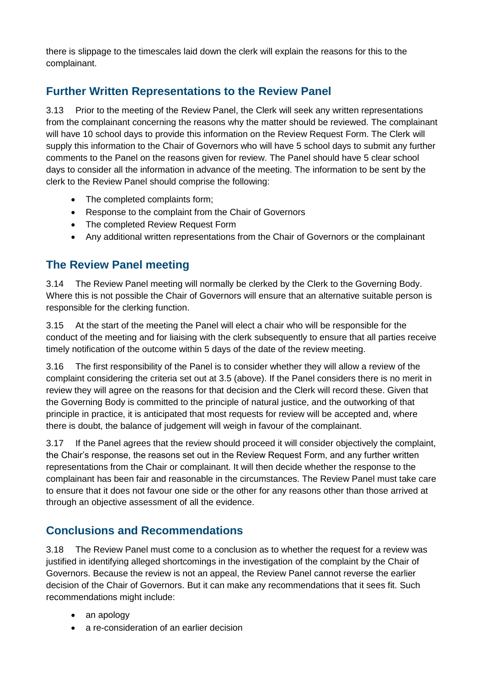there is slippage to the timescales laid down the clerk will explain the reasons for this to the complainant.

#### **Further Written Representations to the Review Panel**

3.13 Prior to the meeting of the Review Panel, the Clerk will seek any written representations from the complainant concerning the reasons why the matter should be reviewed. The complainant will have 10 school days to provide this information on the Review Request Form. The Clerk will supply this information to the Chair of Governors who will have 5 school days to submit any further comments to the Panel on the reasons given for review. The Panel should have 5 clear school days to consider all the information in advance of the meeting. The information to be sent by the clerk to the Review Panel should comprise the following:

- The completed complaints form;
- Response to the complaint from the Chair of Governors
- The completed Review Request Form
- Any additional written representations from the Chair of Governors or the complainant

#### **The Review Panel meeting**

3.14 The Review Panel meeting will normally be clerked by the Clerk to the Governing Body. Where this is not possible the Chair of Governors will ensure that an alternative suitable person is responsible for the clerking function.

3.15 At the start of the meeting the Panel will elect a chair who will be responsible for the conduct of the meeting and for liaising with the clerk subsequently to ensure that all parties receive timely notification of the outcome within 5 days of the date of the review meeting.

3.16 The first responsibility of the Panel is to consider whether they will allow a review of the complaint considering the criteria set out at 3.5 (above). If the Panel considers there is no merit in review they will agree on the reasons for that decision and the Clerk will record these. Given that the Governing Body is committed to the principle of natural justice, and the outworking of that principle in practice, it is anticipated that most requests for review will be accepted and, where there is doubt, the balance of judgement will weigh in favour of the complainant.

3.17 If the Panel agrees that the review should proceed it will consider objectively the complaint, the Chair's response, the reasons set out in the Review Request Form, and any further written representations from the Chair or complainant. It will then decide whether the response to the complainant has been fair and reasonable in the circumstances. The Review Panel must take care to ensure that it does not favour one side or the other for any reasons other than those arrived at through an objective assessment of all the evidence.

#### **Conclusions and Recommendations**

3.18 The Review Panel must come to a conclusion as to whether the request for a review was justified in identifying alleged shortcomings in the investigation of the complaint by the Chair of Governors. Because the review is not an appeal, the Review Panel cannot reverse the earlier decision of the Chair of Governors. But it can make any recommendations that it sees fit. Such recommendations might include:

- an apology
- a re-consideration of an earlier decision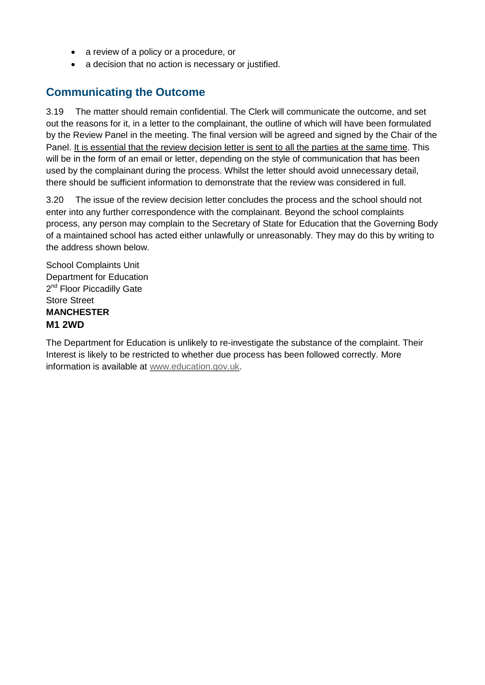- a review of a policy or a procedure, or
- a decision that no action is necessary or justified.

#### **Communicating the Outcome**

3.19 The matter should remain confidential. The Clerk will communicate the outcome, and set out the reasons for it, in a letter to the complainant, the outline of which will have been formulated by the Review Panel in the meeting. The final version will be agreed and signed by the Chair of the Panel. It is essential that the review decision letter is sent to all the parties at the same time. This will be in the form of an email or letter, depending on the style of communication that has been used by the complainant during the process. Whilst the letter should avoid unnecessary detail, there should be sufficient information to demonstrate that the review was considered in full.

3.20 The issue of the review decision letter concludes the process and the school should not enter into any further correspondence with the complainant. Beyond the school complaints process, any person may complain to the Secretary of State for Education that the Governing Body of a maintained school has acted either unlawfully or unreasonably. They may do this by writing to the address shown below.

School Complaints Unit Department for Education 2<sup>nd</sup> Floor Piccadilly Gate Store Street **MANCHESTER M1 2WD**

The Department for Education is unlikely to re-investigate the substance of the complaint. Their Interest is likely to be restricted to whether due process has been followed correctly. More information is available at [www.education.gov.uk.](http://www.education.gov.uk/)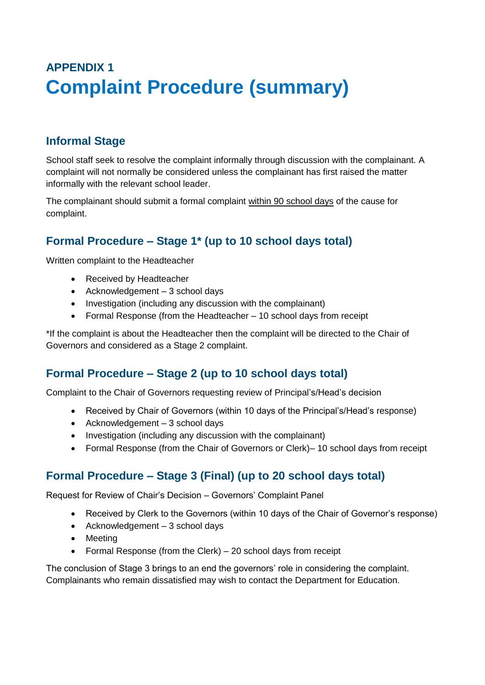### **APPENDIX 1 Complaint Procedure (summary)**

#### **Informal Stage**

School staff seek to resolve the complaint informally through discussion with the complainant. A complaint will not normally be considered unless the complainant has first raised the matter informally with the relevant school leader.

The complainant should submit a formal complaint within 90 school days of the cause for complaint.

#### **Formal Procedure – Stage 1\* (up to 10 school days total)**

Written complaint to the Headteacher

- Received by Headteacher
- Acknowledgement 3 school days
- Investigation (including any discussion with the complainant)
- Formal Response (from the Headteacher 10 school days from receipt

\*If the complaint is about the Headteacher then the complaint will be directed to the Chair of Governors and considered as a Stage 2 complaint.

#### **Formal Procedure – Stage 2 (up to 10 school days total)**

Complaint to the Chair of Governors requesting review of Principal's/Head's decision

- Received by Chair of Governors (within 10 days of the Principal's/Head's response)
- Acknowledgement 3 school days
- Investigation (including any discussion with the complainant)
- Formal Response (from the Chair of Governors or Clerk)– 10 school days from receipt

#### **Formal Procedure – Stage 3 (Final) (up to 20 school days total)**

Request for Review of Chair's Decision – Governors' Complaint Panel

- Received by Clerk to the Governors (within 10 days of the Chair of Governor's response)
- Acknowledgement 3 school days
- Meeting
- Formal Response (from the Clerk) 20 school days from receipt

The conclusion of Stage 3 brings to an end the governors' role in considering the complaint. Complainants who remain dissatisfied may wish to contact the Department for Education.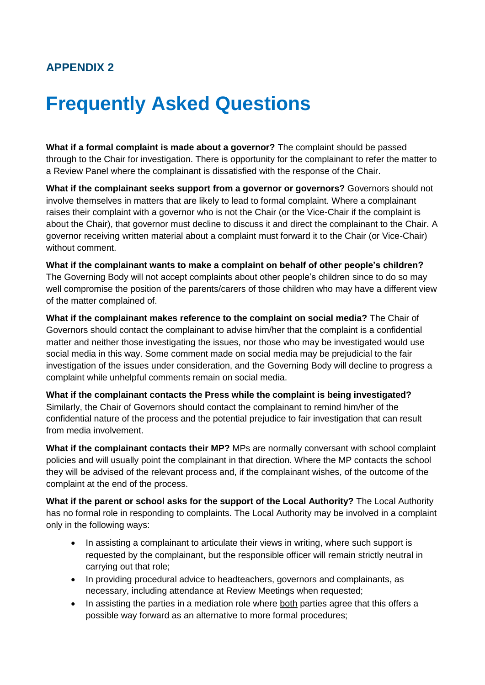### **Frequently Asked Questions**

**What if a formal complaint is made about a governor?** The complaint should be passed through to the Chair for investigation. There is opportunity for the complainant to refer the matter to a Review Panel where the complainant is dissatisfied with the response of the Chair.

**What if the complainant seeks support from a governor or governors?** Governors should not involve themselves in matters that are likely to lead to formal complaint. Where a complainant raises their complaint with a governor who is not the Chair (or the Vice-Chair if the complaint is about the Chair), that governor must decline to discuss it and direct the complainant to the Chair. A governor receiving written material about a complaint must forward it to the Chair (or Vice-Chair) without comment.

**What if the complainant wants to make a complaint on behalf of other people's children?** The Governing Body will not accept complaints about other people's children since to do so may well compromise the position of the parents/carers of those children who may have a different view of the matter complained of.

**What if the complainant makes reference to the complaint on social media?** The Chair of Governors should contact the complainant to advise him/her that the complaint is a confidential matter and neither those investigating the issues, nor those who may be investigated would use social media in this way. Some comment made on social media may be prejudicial to the fair investigation of the issues under consideration, and the Governing Body will decline to progress a complaint while unhelpful comments remain on social media.

**What if the complainant contacts the Press while the complaint is being investigated?** Similarly, the Chair of Governors should contact the complainant to remind him/her of the confidential nature of the process and the potential prejudice to fair investigation that can result from media involvement.

**What if the complainant contacts their MP?** MPs are normally conversant with school complaint policies and will usually point the complainant in that direction. Where the MP contacts the school they will be advised of the relevant process and, if the complainant wishes, of the outcome of the complaint at the end of the process.

**What if the parent or school asks for the support of the Local Authority?** The Local Authority has no formal role in responding to complaints. The Local Authority may be involved in a complaint only in the following ways:

- In assisting a complainant to articulate their views in writing, where such support is requested by the complainant, but the responsible officer will remain strictly neutral in carrying out that role;
- In providing procedural advice to headteachers, governors and complainants, as necessary, including attendance at Review Meetings when requested;
- In assisting the parties in a mediation role where both parties agree that this offers a possible way forward as an alternative to more formal procedures;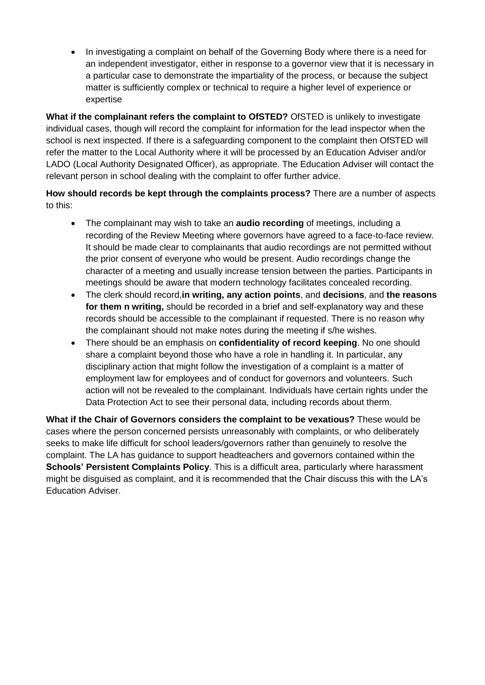In investigating a complaint on behalf of the Governing Body where there is a need for an independent investigator, either in response to a governor view that it is necessary in a particular case to demonstrate the impartiality of the process, or because the subject matter is sufficiently complex or technical to require a higher level of experience or expertise

**What if the complainant refers the complaint to OfSTED?** OfSTED is unlikely to investigate individual cases, though will record the complaint for information for the lead inspector when the school is next inspected. If there is a safeguarding component to the complaint then OfSTED will refer the matter to the Local Authority where it will be processed by an Education Adviser and/or LADO (Local Authority Designated Officer), as appropriate. The Education Adviser will contact the relevant person in school dealing with the complaint to offer further advice.

**How should records be kept through the complaints process?** There are a number of aspects to this:

- The complainant may wish to take an **audio recording** of meetings, including a recording of the Review Meeting where governors have agreed to a face-to-face review. It should be made clear to complainants that audio recordings are not permitted without the prior consent of everyone who would be present. Audio recordings change the character of a meeting and usually increase tension between the parties. Participants in meetings should be aware that modern technology facilitates concealed recording.
- The clerk should record,**in writing, any action points**, and **decisions**, and **the reasons for them n writing,** should be recorded in a brief and self-explanatory way and these records should be accessible to the complainant if requested. There is no reason why the complainant should not make notes during the meeting if s/he wishes.
- There should be an emphasis on **confidentiality of record keeping**. No one should share a complaint beyond those who have a role in handling it. In particular, any disciplinary action that might follow the investigation of a complaint is a matter of employment law for employees and of conduct for governors and volunteers. Such action will not be revealed to the complainant. Individuals have certain rights under the Data Protection Act to see their personal data, including records about therm.

**What if the Chair of Governors considers the complaint to be vexatious?** These would be cases where the person concerned persists unreasonably with complaints, or who deliberately seeks to make life difficult for school leaders/governors rather than genuinely to resolve the complaint. The LA has guidance to support headteachers and governors contained within the **Schools' Persistent Complaints Policy**. This is a difficult area, particularly where harassment might be disguised as complaint, and it is recommended that the Chair discuss this with the LA's Education Adviser.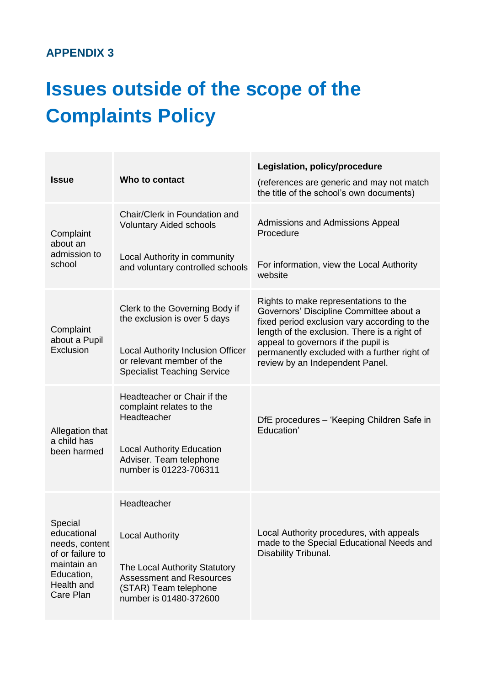## **Issues outside of the scope of the Complaints Policy**

|                                                                                                                      |                                                                                                                     | Legislation, policy/procedure                                                                                                                                                    |
|----------------------------------------------------------------------------------------------------------------------|---------------------------------------------------------------------------------------------------------------------|----------------------------------------------------------------------------------------------------------------------------------------------------------------------------------|
| <b>Issue</b>                                                                                                         | Who to contact                                                                                                      | (references are generic and may not match<br>the title of the school's own documents)                                                                                            |
| Complaint<br>about an<br>admission to<br>school                                                                      | Chair/Clerk in Foundation and<br><b>Voluntary Aided schools</b>                                                     | Admissions and Admissions Appeal<br>Procedure                                                                                                                                    |
|                                                                                                                      | Local Authority in community<br>and voluntary controlled schools                                                    | For information, view the Local Authority<br>website                                                                                                                             |
| Complaint<br>about a Pupil<br>Exclusion                                                                              | Clerk to the Governing Body if<br>the exclusion is over 5 days                                                      | Rights to make representations to the<br>Governors' Discipline Committee about a<br>fixed period exclusion vary according to the<br>length of the exclusion. There is a right of |
|                                                                                                                      | <b>Local Authority Inclusion Officer</b><br>or relevant member of the<br><b>Specialist Teaching Service</b>         | appeal to governors if the pupil is<br>permanently excluded with a further right of<br>review by an Independent Panel.                                                           |
| Allegation that<br>a child has<br>been harmed                                                                        | Headteacher or Chair if the<br>complaint relates to the<br>Headteacher                                              | DfE procedures – 'Keeping Children Safe in<br>Education'                                                                                                                         |
|                                                                                                                      | <b>Local Authority Education</b><br>Adviser. Team telephone<br>number is 01223-706311                               |                                                                                                                                                                                  |
| Special<br>educational<br>needs, content<br>of or failure to<br>maintain an<br>Education,<br>Health and<br>Care Plan | Headteacher                                                                                                         |                                                                                                                                                                                  |
|                                                                                                                      | <b>Local Authority</b>                                                                                              | Local Authority procedures, with appeals<br>made to the Special Educational Needs and<br>Disability Tribunal.                                                                    |
|                                                                                                                      | The Local Authority Statutory<br><b>Assessment and Resources</b><br>(STAR) Team telephone<br>number is 01480-372600 |                                                                                                                                                                                  |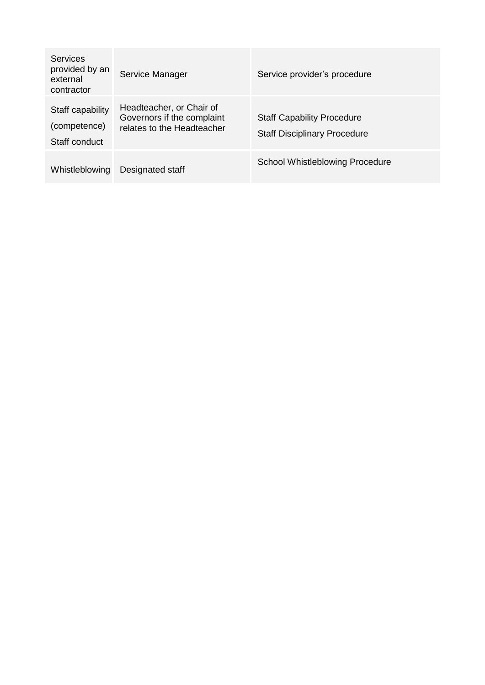| <b>Services</b><br>provided by an<br>external<br>contractor | Service Manager                                                                      | Service provider's procedure                                             |
|-------------------------------------------------------------|--------------------------------------------------------------------------------------|--------------------------------------------------------------------------|
| Staff capability<br>(competence)<br>Staff conduct           | Headteacher, or Chair of<br>Governors if the complaint<br>relates to the Headteacher | <b>Staff Capability Procedure</b><br><b>Staff Disciplinary Procedure</b> |
| Whistleblowing                                              | Designated staff                                                                     | <b>School Whistleblowing Procedure</b>                                   |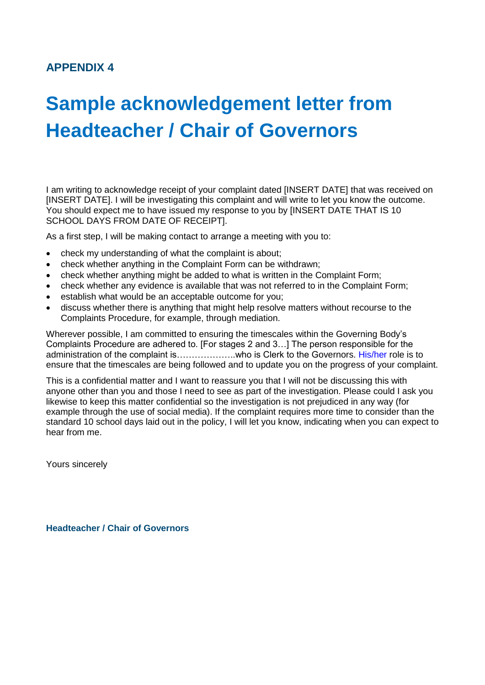# **Sample acknowledgement letter from Headteacher / Chair of Governors**

I am writing to acknowledge receipt of your complaint dated [INSERT DATE] that was received on [INSERT DATE]. I will be investigating this complaint and will write to let you know the outcome. You should expect me to have issued my response to you by [INSERT DATE THAT IS 10 SCHOOL DAYS FROM DATE OF RECEIPT].

As a first step, I will be making contact to arrange a meeting with you to:

- check my understanding of what the complaint is about;
- check whether anything in the Complaint Form can be withdrawn;
- check whether anything might be added to what is written in the Complaint Form;
- check whether any evidence is available that was not referred to in the Complaint Form;
- establish what would be an acceptable outcome for you;
- discuss whether there is anything that might help resolve matters without recourse to the Complaints Procedure, for example, through mediation.

Wherever possible, I am committed to ensuring the timescales within the Governing Body's Complaints Procedure are adhered to. [For stages 2 and 3…] The person responsible for the administration of the complaint is…………………who is Clerk to the Governors. His/her role is to ensure that the timescales are being followed and to update you on the progress of your complaint.

This is a confidential matter and I want to reassure you that I will not be discussing this with anyone other than you and those I need to see as part of the investigation. Please could I ask you likewise to keep this matter confidential so the investigation is not prejudiced in any way (for example through the use of social media). If the complaint requires more time to consider than the standard 10 school days laid out in the policy, I will let you know, indicating when you can expect to hear from me.

Yours sincerely

**Headteacher / Chair of Governors**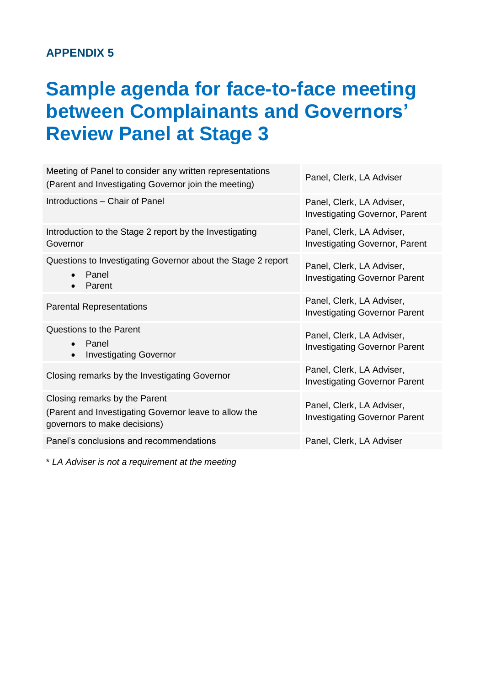### **Sample agenda for face-to-face meeting between Complainants and Governors' Review Panel at Stage 3**

| Meeting of Panel to consider any written representations<br>(Parent and Investigating Governor join the meeting)       | Panel, Clerk, LA Adviser                                           |
|------------------------------------------------------------------------------------------------------------------------|--------------------------------------------------------------------|
| Introductions - Chair of Panel                                                                                         | Panel, Clerk, LA Adviser,<br><b>Investigating Governor, Parent</b> |
| Introduction to the Stage 2 report by the Investigating<br>Governor                                                    | Panel, Clerk, LA Adviser,<br><b>Investigating Governor, Parent</b> |
| Questions to Investigating Governor about the Stage 2 report<br>Panel<br>$\bullet$<br>Parent<br>$\bullet$              | Panel, Clerk, LA Adviser,<br><b>Investigating Governor Parent</b>  |
| <b>Parental Representations</b>                                                                                        | Panel, Clerk, LA Adviser,<br><b>Investigating Governor Parent</b>  |
| Questions to the Parent<br>Panel<br>$\bullet$<br><b>Investigating Governor</b><br>$\bullet$                            | Panel, Clerk, LA Adviser,<br><b>Investigating Governor Parent</b>  |
| Closing remarks by the Investigating Governor                                                                          | Panel, Clerk, LA Adviser,<br><b>Investigating Governor Parent</b>  |
| Closing remarks by the Parent<br>(Parent and Investigating Governor leave to allow the<br>governors to make decisions) | Panel, Clerk, LA Adviser,<br><b>Investigating Governor Parent</b>  |
| Panel's conclusions and recommendations                                                                                | Panel, Clerk, LA Adviser                                           |

\* *LA Adviser is not a requirement at the meeting*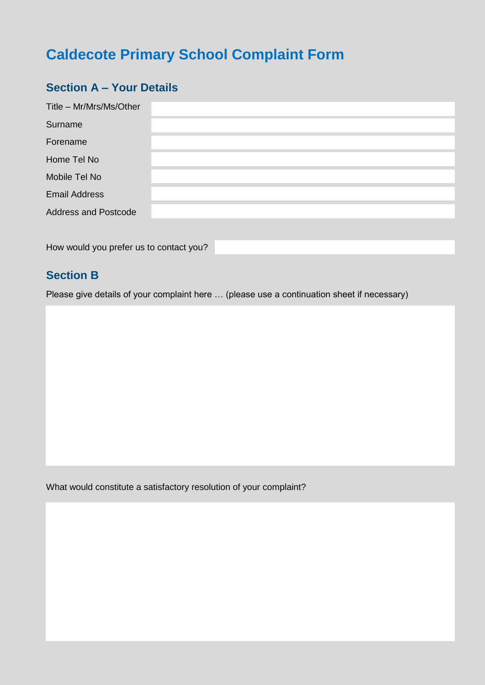### **Caldecote Primary School Complaint Form**

#### **Section A – Your Details**

| Title - Mr/Mrs/Ms/Other                 |  |  |
|-----------------------------------------|--|--|
| Surname                                 |  |  |
| Forename                                |  |  |
| Home Tel No                             |  |  |
| Mobile Tel No                           |  |  |
| <b>Email Address</b>                    |  |  |
| <b>Address and Postcode</b>             |  |  |
|                                         |  |  |
| How would you prefer us to contact you? |  |  |

#### **Section B**

Please give details of your complaint here … (please use a continuation sheet if necessary)

What would constitute a satisfactory resolution of your complaint?